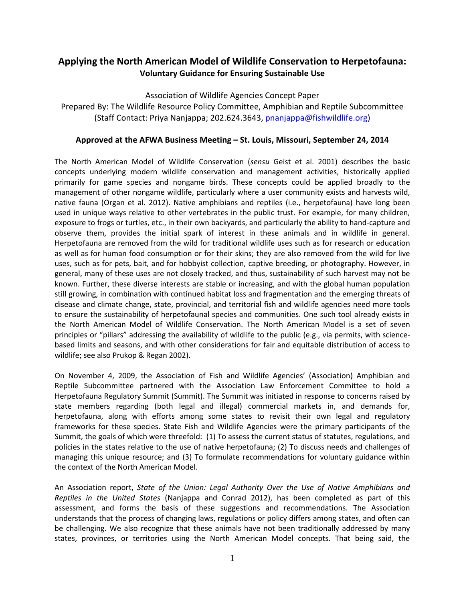# **Applying the North American Model of Wildlife Conservation to Herpetofauna: Voluntary Guidance for Ensuring Sustainable Use**

Association of Wildlife Agencies Concept Paper Prepared By: The Wildlife Resource Policy Committee, Amphibian and Reptile Subcommittee (Staff Contact: Priya Nanjappa; 202.624.3643, [pnanjappa@fishwildlife.org\)](mailto:pnanjappa@fishwildlife.org)

### **Approved at the AFWA Business Meeting – St. Louis, Missouri, September 24, 2014**

The North American Model of Wildlife Conservation (*sensu* Geist et al. 2001) describes the basic concepts underlying modern wildlife conservation and management activities, historically applied primarily for game species and nongame birds. These concepts could be applied broadly to the management of other nongame wildlife, particularly where a user community exists and harvests wild, native fauna (Organ et al. 2012). Native amphibians and reptiles (i.e., herpetofauna) have long been used in unique ways relative to other vertebrates in the public trust. For example, for many children, exposure to frogs or turtles, etc., in their own backyards, and particularly the ability to hand-capture and observe them, provides the initial spark of interest in these animals and in wildlife in general. Herpetofauna are removed from the wild for traditional wildlife uses such as for research or education as well as for human food consumption or for their skins; they are also removed from the wild for live uses, such as for pets, bait, and for hobbyist collection, captive breeding, or photography. However, in general, many of these uses are not closely tracked, and thus, sustainability of such harvest may not be known. Further, these diverse interests are stable or increasing, and with the global human population still growing, in combination with continued habitat loss and fragmentation and the emerging threats of disease and climate change, state, provincial, and territorial fish and wildlife agencies need more tools to ensure the sustainability of herpetofaunal species and communities. One such tool already exists in the North American Model of Wildlife Conservation. The North American Model is a set of seven principles or "pillars" addressing the availability of wildlife to the public (e.g., via permits, with sciencebased limits and seasons, and with other considerations for fair and equitable distribution of access to wildlife; see also Prukop & Regan 2002).

On November 4, 2009, the Association of Fish and Wildlife Agencies' (Association) Amphibian and Reptile Subcommittee partnered with the Association Law Enforcement Committee to hold a Herpetofauna Regulatory Summit (Summit). The Summit was initiated in response to concerns raised by state members regarding (both legal and illegal) commercial markets in, and demands for, herpetofauna, along with efforts among some states to revisit their own legal and regulatory frameworks for these species. State Fish and Wildlife Agencies were the primary participants of the Summit, the goals of which were threefold: (1) To assess the current status of statutes, regulations, and policies in the states relative to the use of native herpetofauna; (2) To discuss needs and challenges of managing this unique resource; and (3) To formulate recommendations for voluntary guidance within the context of the North American Model.

An Association report, *State of the Union: Legal Authority Over the Use of Native Amphibians and Reptiles in the United States* (Nanjappa and Conrad 2012), has been completed as part of this assessment, and forms the basis of these suggestions and recommendations. The Association understands that the process of changing laws, regulations or policy differs among states, and often can be challenging. We also recognize that these animals have not been traditionally addressed by many states, provinces, or territories using the North American Model concepts. That being said, the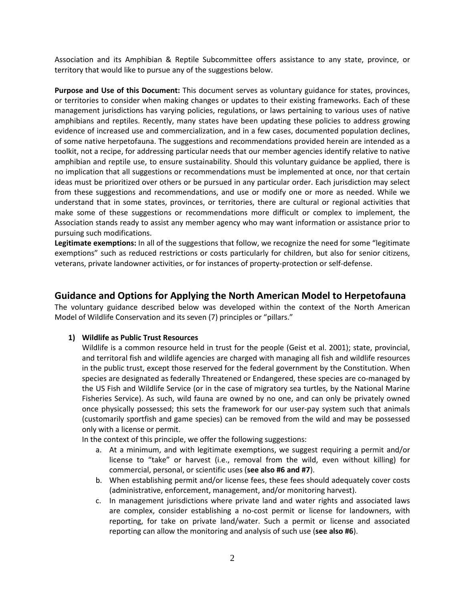Association and its Amphibian & Reptile Subcommittee offers assistance to any state, province, or territory that would like to pursue any of the suggestions below.

**Purpose and Use of this Document:** This document serves as voluntary guidance for states, provinces, or territories to consider when making changes or updates to their existing frameworks. Each of these management jurisdictions has varying policies, regulations, or laws pertaining to various uses of native amphibians and reptiles. Recently, many states have been updating these policies to address growing evidence of increased use and commercialization, and in a few cases, documented population declines, of some native herpetofauna. The suggestions and recommendations provided herein are intended as a toolkit, not a recipe, for addressing particular needs that our member agencies identify relative to native amphibian and reptile use, to ensure sustainability. Should this voluntary guidance be applied, there is no implication that all suggestions or recommendations must be implemented at once, nor that certain ideas must be prioritized over others or be pursued in any particular order. Each jurisdiction may select from these suggestions and recommendations, and use or modify one or more as needed. While we understand that in some states, provinces, or territories, there are cultural or regional activities that make some of these suggestions or recommendations more difficult or complex to implement, the Association stands ready to assist any member agency who may want information or assistance prior to pursuing such modifications.

**Legitimate exemptions:** In all of the suggestions that follow, we recognize the need for some "legitimate exemptions" such as reduced restrictions or costs particularly for children, but also for senior citizens, veterans, private landowner activities, or for instances of property-protection or self-defense.

# **Guidance and Options for Applying the North American Model to Herpetofauna**

The voluntary guidance described below was developed within the context of the North American Model of Wildlife Conservation and its seven (7) principles or "pillars."

#### **1) Wildlife as Public Trust Resources**

Wildlife is a common resource held in trust for the people (Geist et al. 2001); state, provincial, and territoral fish and wildlife agencies are charged with managing all fish and wildlife resources in the public trust, except those reserved for the federal government by the Constitution. When species are designated as federally Threatened or Endangered, these species are co-managed by the US Fish and Wildlife Service (or in the case of migratory sea turtles, by the National Marine Fisheries Service). As such, wild fauna are owned by no one, and can only be privately owned once physically possessed; this sets the framework for our user-pay system such that animals (customarily sportfish and game species) can be removed from the wild and may be possessed only with a license or permit.

In the context of this principle, we offer the following suggestions:

- a. At a minimum, and with legitimate exemptions, we suggest requiring a permit and/or license to "take" or harvest (i.e., removal from the wild, even without killing) for commercial, personal, or scientific uses (**see also #6 and #7**).
- b. When establishing permit and/or license fees, these fees should adequately cover costs (administrative, enforcement, management, and/or monitoring harvest).
- c. In management jurisdictions where private land and water rights and associated laws are complex, consider establishing a no-cost permit or license for landowners, with reporting, for take on private land/water. Such a permit or license and associated reporting can allow the monitoring and analysis of such use (**see also #6**).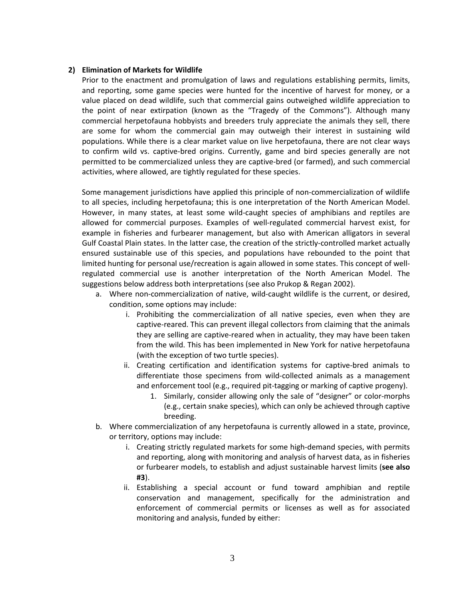#### **2) Elimination of Markets for Wildlife**

Prior to the enactment and promulgation of laws and regulations establishing permits, limits, and reporting, some game species were hunted for the incentive of harvest for money, or a value placed on dead wildlife, such that commercial gains outweighed wildlife appreciation to the point of near extirpation (known as the "Tragedy of the Commons"). Although many commercial herpetofauna hobbyists and breeders truly appreciate the animals they sell, there are some for whom the commercial gain may outweigh their interest in sustaining wild populations. While there is a clear market value on live herpetofauna, there are not clear ways to confirm wild vs. captive-bred origins. Currently, game and bird species generally are not permitted to be commercialized unless they are captive-bred (or farmed), and such commercial activities, where allowed, are tightly regulated for these species.

Some management jurisdictions have applied this principle of non-commercialization of wildlife to all species, including herpetofauna; this is one interpretation of the North American Model. However, in many states, at least some wild-caught species of amphibians and reptiles are allowed for commercial purposes. Examples of well-regulated commercial harvest exist, for example in fisheries and furbearer management, but also with American alligators in several Gulf Coastal Plain states. In the latter case, the creation of the strictly-controlled market actually ensured sustainable use of this species, and populations have rebounded to the point that limited hunting for personal use/recreation is again allowed in some states. This concept of wellregulated commercial use is another interpretation of the North American Model. The suggestions below address both interpretations (see also Prukop & Regan 2002).

- a. Where non-commercialization of native, wild-caught wildlife is the current, or desired, condition, some options may include:
	- i. Prohibiting the commercialization of all native species, even when they are captive-reared. This can prevent illegal collectors from claiming that the animals they are selling are captive-reared when in actuality, they may have been taken from the wild. This has been implemented in New York for native herpetofauna (with the exception of two turtle species).
	- ii. Creating certification and identification systems for captive-bred animals to differentiate those specimens from wild-collected animals as a management and enforcement tool (e.g., required pit-tagging or marking of captive progeny).
		- 1. Similarly, consider allowing only the sale of "designer" or color-morphs (e.g., certain snake species), which can only be achieved through captive breeding.
- b. Where commercialization of any herpetofauna is currently allowed in a state, province, or territory, options may include:
	- i. Creating strictly regulated markets for some high-demand species, with permits and reporting, along with monitoring and analysis of harvest data, as in fisheries or furbearer models, to establish and adjust sustainable harvest limits (**see also #3**).
	- ii. Establishing a special account or fund toward amphibian and reptile conservation and management, specifically for the administration and enforcement of commercial permits or licenses as well as for associated monitoring and analysis, funded by either: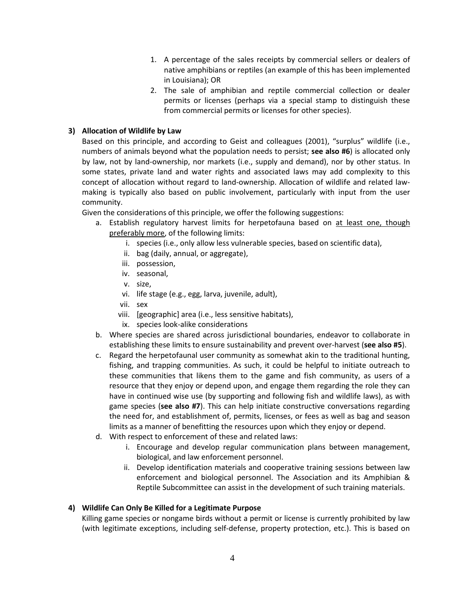- 1. A percentage of the sales receipts by commercial sellers or dealers of native amphibians or reptiles (an example of this has been implemented in Louisiana); OR
- 2. The sale of amphibian and reptile commercial collection or dealer permits or licenses (perhaps via a special stamp to distinguish these from commercial permits or licenses for other species).

# **3) Allocation of Wildlife by Law**

Based on this principle, and according to Geist and colleagues (2001), "surplus" wildlife (i.e., numbers of animals beyond what the population needs to persist; **see also #6**) is allocated only by law, not by land-ownership, nor markets (i.e., supply and demand), nor by other status. In some states, private land and water rights and associated laws may add complexity to this concept of allocation without regard to land-ownership. Allocation of wildlife and related lawmaking is typically also based on public involvement, particularly with input from the user community.

Given the considerations of this principle, we offer the following suggestions:

- a. Establish regulatory harvest limits for herpetofauna based on at least one, though preferably more, of the following limits:
	- i. species (i.e., only allow less vulnerable species, based on scientific data),
	- ii. bag (daily, annual, or aggregate),
	- iii. possession,
	- iv. seasonal,
	- v. size,
	- vi. life stage (e.g., egg, larva, juvenile, adult),
	- vii. sex
	- viii. [geographic] area (i.e., less sensitive habitats),
	- ix. species look-alike considerations
- b. Where species are shared across jurisdictional boundaries, endeavor to collaborate in establishing these limits to ensure sustainability and prevent over-harvest (**see also #5**).
- c. Regard the herpetofaunal user community as somewhat akin to the traditional hunting, fishing, and trapping communities. As such, it could be helpful to initiate outreach to these communities that likens them to the game and fish community, as users of a resource that they enjoy or depend upon, and engage them regarding the role they can have in continued wise use (by supporting and following fish and wildlife laws), as with game species (**see also #7**). This can help initiate constructive conversations regarding the need for, and establishment of, permits, licenses, or fees as well as bag and season limits as a manner of benefitting the resources upon which they enjoy or depend.
- d. With respect to enforcement of these and related laws:
	- i. Encourage and develop regular communication plans between management, biological, and law enforcement personnel.
	- ii. Develop identification materials and cooperative training sessions between law enforcement and biological personnel. The Association and its Amphibian & Reptile Subcommittee can assist in the development of such training materials.

#### **4) Wildlife Can Only Be Killed for a Legitimate Purpose**

Killing game species or nongame birds without a permit or license is currently prohibited by law (with legitimate exceptions, including self-defense, property protection, etc.). This is based on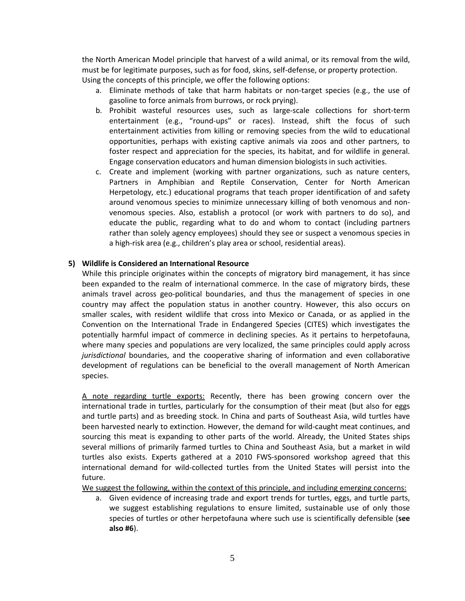the North American Model principle that harvest of a wild animal, or its removal from the wild, must be for legitimate purposes, such as for food, skins, self-defense, or property protection. Using the concepts of this principle, we offer the following options:

- a. Eliminate methods of take that harm habitats or non-target species (e.g., the use of gasoline to force animals from burrows, or rock prying).
- b. Prohibit wasteful resources uses, such as large-scale collections for short-term entertainment (e.g., "round-ups" or races). Instead, shift the focus of such entertainment activities from killing or removing species from the wild to educational opportunities, perhaps with existing captive animals via zoos and other partners, to foster respect and appreciation for the species, its habitat, and for wildlife in general. Engage conservation educators and human dimension biologists in such activities.
- c. Create and implement (working with partner organizations, such as nature centers, Partners in Amphibian and Reptile Conservation, Center for North American Herpetology, etc.) educational programs that teach proper identification of and safety around venomous species to minimize unnecessary killing of both venomous and nonvenomous species. Also, establish a protocol (or work with partners to do so), and educate the public, regarding what to do and whom to contact (including partners rather than solely agency employees) should they see or suspect a venomous species in a high-risk area (e.g., children's play area or school, residential areas).

#### **5) Wildlife is Considered an International Resource**

While this principle originates within the concepts of migratory bird management, it has since been expanded to the realm of international commerce. In the case of migratory birds, these animals travel across geo-political boundaries, and thus the management of species in one country may affect the population status in another country. However, this also occurs on smaller scales, with resident wildlife that cross into Mexico or Canada, or as applied in the Convention on the International Trade in Endangered Species (CITES) which investigates the potentially harmful impact of commerce in declining species. As it pertains to herpetofauna, where many species and populations are very localized, the same principles could apply across *jurisdictional* boundaries, and the cooperative sharing of information and even collaborative development of regulations can be beneficial to the overall management of North American species.

A note regarding turtle exports: Recently, there has been growing concern over the international trade in turtles, particularly for the consumption of their meat (but also for eggs and turtle parts) and as breeding stock. In China and parts of Southeast Asia, wild turtles have been harvested nearly to extinction. However, the demand for wild-caught meat continues, and sourcing this meat is expanding to other parts of the world. Already, the United States ships several millions of primarily farmed turtles to China and Southeast Asia, but a market in wild turtles also exists. Experts gathered at a 2010 FWS-sponsored workshop agreed that this international demand for wild-collected turtles from the United States will persist into the future.

We suggest the following, within the context of this principle, and including emerging concerns:

a. Given evidence of increasing trade and export trends for turtles, eggs, and turtle parts, we suggest establishing regulations to ensure limited, sustainable use of only those species of turtles or other herpetofauna where such use is scientifically defensible (**see also #6**).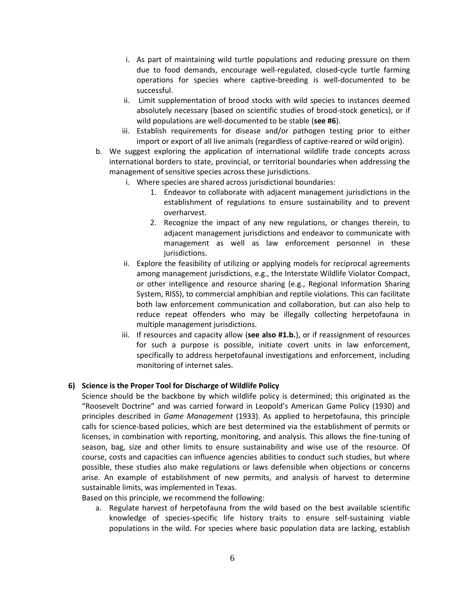- i. As part of maintaining wild turtle populations and reducing pressure on them due to food demands, encourage well-regulated, closed-cycle turtle farming operations for species where captive-breeding is well-documented to be successful.
- ii. Limit supplementation of brood stocks with wild species to instances deemed absolutely necessary (based on scientific studies of brood-stock genetics), or if wild populations are well-documented to be stable (**see #6**).
- iii. Establish requirements for disease and/or pathogen testing prior to either import or export of all live animals (regardless of captive-reared or wild origin).
- b. We suggest exploring the application of international wildlife trade concepts across international borders to state, provincial, or territorial boundaries when addressing the management of sensitive species across these jurisdictions.
	- i. Where species are shared across jurisdictional boundaries:
		- 1. Endeavor to collaborate with adjacent management jurisdictions in the establishment of regulations to ensure sustainability and to prevent overharvest.
		- 2. Recognize the impact of any new regulations, or changes therein, to adjacent management jurisdictions and endeavor to communicate with management as well as law enforcement personnel in these jurisdictions.
	- ii. Explore the feasibility of utilizing or applying models for reciprocal agreements among management jurisdictions, e.g., the Interstate Wildlife Violator Compact, or other intelligence and resource sharing (e.g., Regional Information Sharing System, RISS), to commercial amphibian and reptile violations. This can facilitate both law enforcement communication and collaboration, but can also help to reduce repeat offenders who may be illegally collecting herpetofauna in multiple management jurisdictions.
	- iii. If resources and capacity allow (**see also #1.b.**), or if reassignment of resources for such a purpose is possible, initiate covert units in law enforcement, specifically to address herpetofaunal investigations and enforcement, including monitoring of internet sales.

# **6) Science is the Proper Tool for Discharge of Wildlife Policy**

Science should be the backbone by which wildlife policy is determined; this originated as the "Roosevelt Doctrine" and was carried forward in Leopold's American Game Policy (1930) and principles described in *Game Management* (1933). As applied to herpetofauna, this principle calls for science-based policies, which are best determined via the establishment of permits or licenses, in combination with reporting, monitoring, and analysis. This allows the fine-tuning of season, bag, size and other limits to ensure sustainability and wise use of the resource. Of course, costs and capacities can influence agencies abilities to conduct such studies, but where possible, these studies also make regulations or laws defensible when objections or concerns arise. An example of establishment of new permits, and analysis of harvest to determine sustainable limits, was implemented in Texas.

Based on this principle, we recommend the following:

a. Regulate harvest of herpetofauna from the wild based on the best available scientific knowledge of species-specific life history traits to ensure self-sustaining viable populations in the wild. For species where basic population data are lacking, establish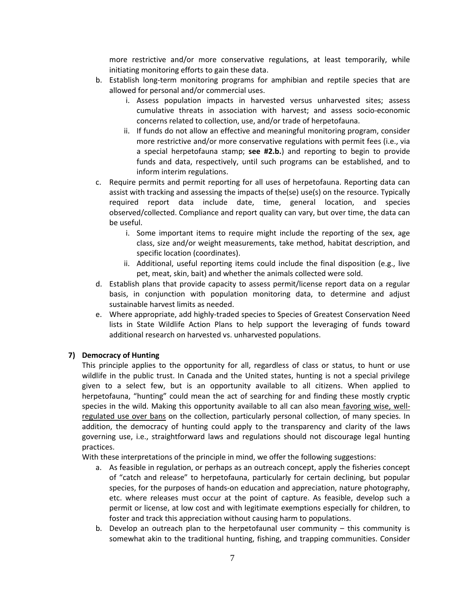more restrictive and/or more conservative regulations, at least temporarily, while initiating monitoring efforts to gain these data.

- b. Establish long-term monitoring programs for amphibian and reptile species that are allowed for personal and/or commercial uses.
	- i. Assess population impacts in harvested versus unharvested sites; assess cumulative threats in association with harvest; and assess socio-economic concerns related to collection, use, and/or trade of herpetofauna.
	- ii. If funds do not allow an effective and meaningful monitoring program, consider more restrictive and/or more conservative regulations with permit fees (i.e., via a special herpetofauna stamp; **see #2.b.**) and reporting to begin to provide funds and data, respectively, until such programs can be established, and to inform interim regulations.
- c. Require permits and permit reporting for all uses of herpetofauna. Reporting data can assist with tracking and assessing the impacts of the(se) use(s) on the resource. Typically required report data include date, time, general location, and species observed/collected. Compliance and report quality can vary, but over time, the data can be useful.
	- i. Some important items to require might include the reporting of the sex, age class, size and/or weight measurements, take method, habitat description, and specific location (coordinates).
	- ii. Additional, useful reporting items could include the final disposition (e.g., live pet, meat, skin, bait) and whether the animals collected were sold.
- d. Establish plans that provide capacity to assess permit/license report data on a regular basis, in conjunction with population monitoring data, to determine and adjust sustainable harvest limits as needed.
- e. Where appropriate, add highly-traded species to Species of Greatest Conservation Need lists in State Wildlife Action Plans to help support the leveraging of funds toward additional research on harvested vs. unharvested populations.

# **7) Democracy of Hunting**

This principle applies to the opportunity for all, regardless of class or status, to hunt or use wildlife in the public trust. In Canada and the United states, hunting is not a special privilege given to a select few, but is an opportunity available to all citizens. When applied to herpetofauna, "hunting" could mean the act of searching for and finding these mostly cryptic species in the wild. Making this opportunity available to all can also mean favoring wise, wellregulated use over bans on the collection, particularly personal collection, of many species. In addition, the democracy of hunting could apply to the transparency and clarity of the laws governing use, i.e., straightforward laws and regulations should not discourage legal hunting practices.

With these interpretations of the principle in mind, we offer the following suggestions:

- a. As feasible in regulation, or perhaps as an outreach concept, apply the fisheries concept of "catch and release" to herpetofauna, particularly for certain declining, but popular species, for the purposes of hands-on education and appreciation, nature photography, etc. where releases must occur at the point of capture. As feasible, develop such a permit or license, at low cost and with legitimate exemptions especially for children, to foster and track this appreciation without causing harm to populations.
- b. Develop an outreach plan to the herpetofaunal user community this community is somewhat akin to the traditional hunting, fishing, and trapping communities. Consider